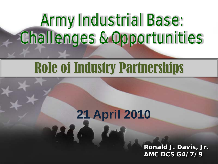# Army Industrial Base: Challenges & Opportunities

# Role of Industry Partnerships

## **21 April 2010**

**Ronald J. Davis, Jr. AMC DCS G4/7/9**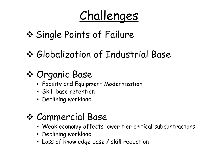## Challenges

- **☆ Single Points of Failure**
- Globalization of Industrial Base

## Organic Base

- Facility and Equipment Modernization
- Skill base retention
- Declining workload

## Commercial Base

- Weak economy affects lower tier critical subcontractors
- Declining workload
- Loss of knowledge base / skill reduction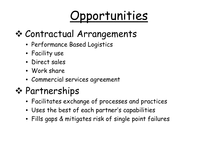# Opportunities

## Contractual Arrangements

- Performance Based Logistics
- Facility use
- Direct sales
- Work share
- Commercial services agreement

### **☆ Partnerships**

- Facilitates exchange of processes and practices
- Uses the best of each partner's capabilities
- Fills gaps & mitigates risk of single point failures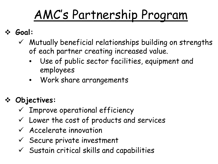#### AC's Partnershin Progr AMC's Partnership Program

#### **Goal:**

- $\checkmark$  Mutually beneficial relationships building on strengths of each partner creating increased value.
	- Use of public sector facilities, equipment and employees
	- Work share arrangements

### **Objectives:**

- $\checkmark$  Improve operational efficiency
- $\checkmark$  Lower the cost of products and services
- $\checkmark$  Accelerate innovation
- $\checkmark$  Secure private investment
- $\checkmark$  Sustain critical skills and capabilities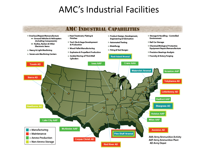### AMC's Industrial Facilities

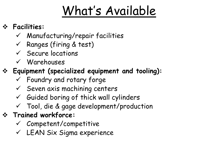# What's Available

#### **Facilities:**

- $\checkmark$  Manufacturing/repair facilities
- $\checkmark$  Ranges (firing & test)
- $\checkmark$  Secure locations
- Warehouses

#### **Equipment (specialized equipment and tooling):**

- $\checkmark$  Foundry and rotary forge
- $\checkmark$  Seven axis machining centers
- $\checkmark$  Guided boring of thick wall cylinders
- Tool, die & gage development/production
- **Trained workforce:**
	- $\checkmark$  Competent/competitive
	- LEAN Six Sigma experience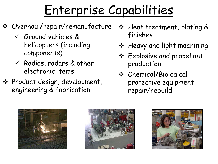# Enterprise Capabilities

- Overhaul/repair/remanufacture
	- Ground vehicles & helicopters (including components)
	- $\checkmark$  Radios, radars & other electronic items
- Product design, development, engineering & fabrication
- ❖ Heat treatment, plating & finishes
- \* Heavy and light machining
- Explosive and propellant production
- Chemical/Biological protective equipment repair/rebuild





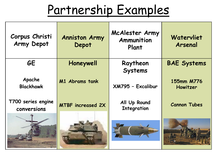## Partnership Examples

| Corpus Christi<br>Army Depot      | <b>Anniston Army</b><br>Depot | McAlester Army<br>Ammunition<br>Plant | Watervliet<br>Arsenal  |
|-----------------------------------|-------------------------------|---------------------------------------|------------------------|
| <b>GE</b>                         | Honeywell                     | Raytheon<br><b>Systems</b>            | <b>BAE Systems</b>     |
| Apache<br><b>Blackhawk</b>        | M1 Abrams tank                | XM795 - Excalibur                     | 155mm M776<br>Howitzer |
| T700 series engine<br>conversions | <b>MTBF increased 2X</b>      | All Up Round<br><b>Integration</b>    | <b>Cannon Tubes</b>    |
|                                   |                               |                                       |                        |